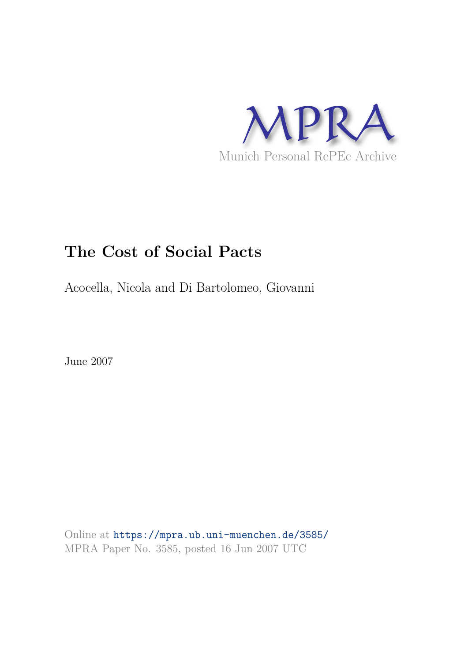

# **The Cost of Social Pacts**

Acocella, Nicola and Di Bartolomeo, Giovanni

June 2007

Online at https://mpra.ub.uni-muenchen.de/3585/ MPRA Paper No. 3585, posted 16 Jun 2007 UTC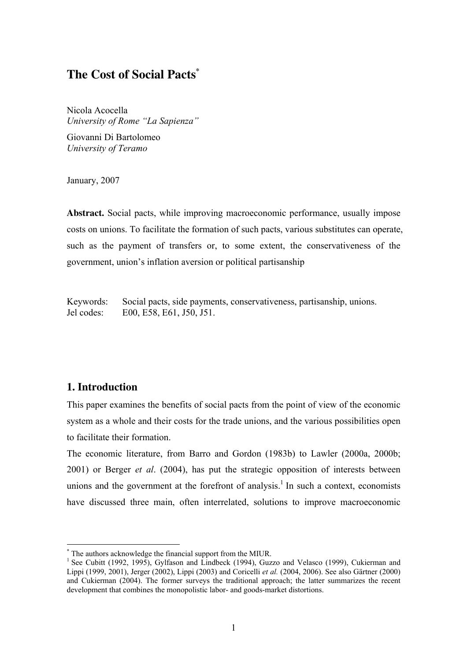## **The Cost of Social Pacts\***

Nicola Acocella *University of Rome "La Sapienza"* 

Giovanni Di Bartolomeo *University of Teramo* 

January, 2007

**Abstract.** Social pacts, while improving macroeconomic performance, usually impose costs on unions. To facilitate the formation of such pacts, various substitutes can operate, such as the payment of transfers or, to some extent, the conservativeness of the government, union's inflation aversion or political partisanship

Keywords: Social pacts, side payments, conservativeness, partisanship, unions. Jel codes: E00, E58, E61, J50, J51.

## **1. Introduction**

This paper examines the benefits of social pacts from the point of view of the economic system as a whole and their costs for the trade unions, and the various possibilities open to facilitate their formation.

The economic literature, from Barro and Gordon (1983b) to Lawler (2000a, 2000b; 2001) or Berger *et al*. (2004), has put the strategic opposition of interests between unions and the government at the forefront of analysis.<sup>1</sup> In such a context, economists have discussed three main, often interrelated, solutions to improve macroeconomic

 \* The authors acknowledge the financial support from the MIUR.

<sup>&</sup>lt;sup>1</sup> See Cubitt (1992, 1995), Gylfason and Lindbeck (1994), Guzzo and Velasco (1999), Cukierman and Lippi (1999, 2001), Jerger (2002), Lippi (2003) and Coricelli *et al.* (2004, 2006). See also Gärtner (2000) and Cukierman (2004). The former surveys the traditional approach; the latter summarizes the recent development that combines the monopolistic labor- and goods-market distortions.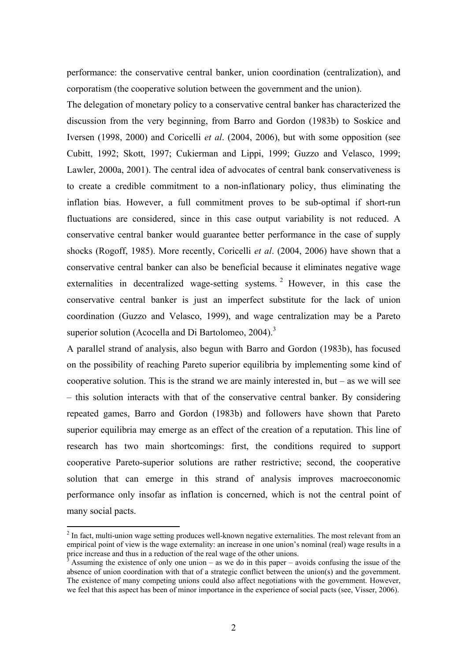performance: the conservative central banker, union coordination (centralization), and corporatism (the cooperative solution between the government and the union).

The delegation of monetary policy to a conservative central banker has characterized the discussion from the very beginning, from Barro and Gordon (1983b) to Soskice and Iversen (1998, 2000) and Coricelli *et al*. (2004, 2006), but with some opposition (see Cubitt, 1992; Skott, 1997; Cukierman and Lippi, 1999; Guzzo and Velasco, 1999; Lawler, 2000a, 2001). The central idea of advocates of central bank conservativeness is to create a credible commitment to a non-inflationary policy, thus eliminating the inflation bias. However, a full commitment proves to be sub-optimal if short-run fluctuations are considered, since in this case output variability is not reduced. A conservative central banker would guarantee better performance in the case of supply shocks (Rogoff, 1985). More recently, Coricelli *et al*. (2004, 2006) have shown that a conservative central banker can also be beneficial because it eliminates negative wage externalities in decentralized wage-setting systems.<sup>2</sup> However, in this case the conservative central banker is just an imperfect substitute for the lack of union coordination (Guzzo and Velasco, 1999), and wage centralization may be a Pareto superior solution (Acocella and Di Bartolomeo, 2004).<sup>3</sup>

A parallel strand of analysis, also begun with Barro and Gordon (1983b), has focused on the possibility of reaching Pareto superior equilibria by implementing some kind of cooperative solution. This is the strand we are mainly interested in, but – as we will see – this solution interacts with that of the conservative central banker. By considering repeated games, Barro and Gordon (1983b) and followers have shown that Pareto superior equilibria may emerge as an effect of the creation of a reputation. This line of research has two main shortcomings: first, the conditions required to support cooperative Pareto-superior solutions are rather restrictive; second, the cooperative solution that can emerge in this strand of analysis improves macroeconomic performance only insofar as inflation is concerned, which is not the central point of many social pacts.

 $2$  In fact, multi-union wage setting produces well-known negative externalities. The most relevant from an empirical point of view is the wage externality: an increase in one union's nominal (real) wage results in a price increase and thus in a reduction of the real wage of the other unions.

<sup>3</sup> Assuming the existence of only one union – as we do in this paper – avoids confusing the issue of the absence of union coordination with that of a strategic conflict between the union(s) and the government. The existence of many competing unions could also affect negotiations with the government. However, we feel that this aspect has been of minor importance in the experience of social pacts (see, Visser, 2006).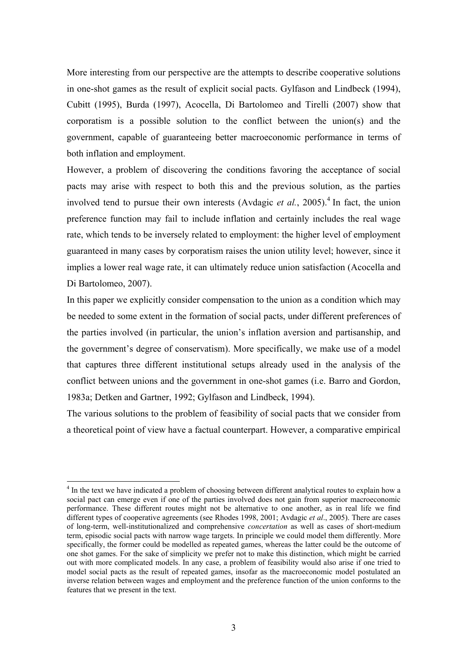More interesting from our perspective are the attempts to describe cooperative solutions in one-shot games as the result of explicit social pacts. Gylfason and Lindbeck (1994), Cubitt (1995), Burda (1997), Acocella, Di Bartolomeo and Tirelli (2007) show that corporatism is a possible solution to the conflict between the union(s) and the government, capable of guaranteeing better macroeconomic performance in terms of both inflation and employment.

However, a problem of discovering the conditions favoring the acceptance of social pacts may arise with respect to both this and the previous solution, as the parties involved tend to pursue their own interests (Avdagic *et al.*, 2005).<sup>4</sup> In fact, the union preference function may fail to include inflation and certainly includes the real wage rate, which tends to be inversely related to employment: the higher level of employment guaranteed in many cases by corporatism raises the union utility level; however, since it implies a lower real wage rate, it can ultimately reduce union satisfaction (Acocella and Di Bartolomeo, 2007).

In this paper we explicitly consider compensation to the union as a condition which may be needed to some extent in the formation of social pacts, under different preferences of the parties involved (in particular, the union's inflation aversion and partisanship, and the government's degree of conservatism). More specifically, we make use of a model that captures three different institutional setups already used in the analysis of the conflict between unions and the government in one-shot games (i.e. Barro and Gordon, 1983a; Detken and Gartner, 1992; Gylfason and Lindbeck, 1994).

The various solutions to the problem of feasibility of social pacts that we consider from a theoretical point of view have a factual counterpart. However, a comparative empirical

<sup>&</sup>lt;sup>4</sup> In the text we have indicated a problem of choosing between different analytical routes to explain how a social pact can emerge even if one of the parties involved does not gain from superior macroeconomic performance. These different routes might not be alternative to one another, as in real life we find different types of cooperative agreements (see Rhodes 1998, 2001; Avdagic *et al*., 2005). There are cases of long-term, well-institutionalized and comprehensive *concertation* as well as cases of short-medium term, episodic social pacts with narrow wage targets. In principle we could model them differently. More specifically, the former could be modelled as repeated games, whereas the latter could be the outcome of one shot games. For the sake of simplicity we prefer not to make this distinction, which might be carried out with more complicated models. In any case, a problem of feasibility would also arise if one tried to model social pacts as the result of repeated games, insofar as the macroeconomic model postulated an inverse relation between wages and employment and the preference function of the union conforms to the features that we present in the text.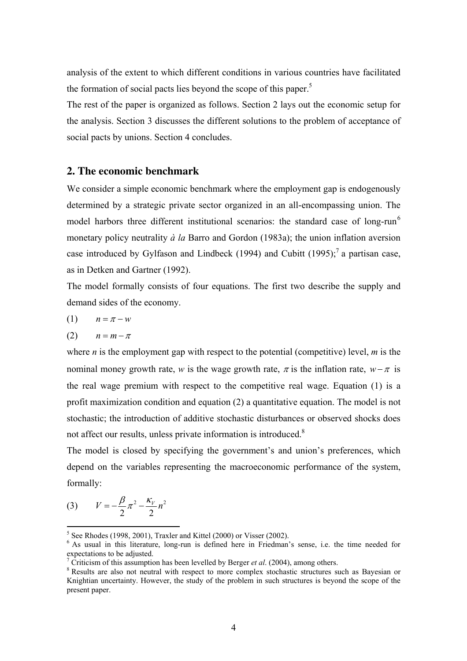analysis of the extent to which different conditions in various countries have facilitated the formation of social pacts lies beyond the scope of this paper.<sup>5</sup>

The rest of the paper is organized as follows. Section 2 lays out the economic setup for the analysis. Section 3 discusses the different solutions to the problem of acceptance of social pacts by unions. Section 4 concludes.

## **2. The economic benchmark**

We consider a simple economic benchmark where the employment gap is endogenously determined by a strategic private sector organized in an all-encompassing union. The model harbors three different institutional scenarios: the standard case of long-run<sup>6</sup> monetary policy neutrality *à la* Barro and Gordon (1983a); the union inflation aversion case introduced by Gylfason and Lindbeck (1994) and Cubitt (1995);<sup>7</sup> a partisan case, as in Detken and Gartner (1992).

The model formally consists of four equations. The first two describe the supply and demand sides of the economy.

$$
(1) \qquad n = \pi - w
$$

$$
(2) \qquad n = m - \pi
$$

where *n* is the employment gap with respect to the potential (competitive) level, *m* is the nominal money growth rate, *w* is the wage growth rate,  $\pi$  is the inflation rate,  $w-\pi$  is the real wage premium with respect to the competitive real wage. Equation (1) is a profit maximization condition and equation (2) a quantitative equation. The model is not stochastic; the introduction of additive stochastic disturbances or observed shocks does not affect our results, unless private information is introduced.<sup>8</sup>

The model is closed by specifying the government's and union's preferences, which depend on the variables representing the macroeconomic performance of the system, formally:

(3) 
$$
V = -\frac{\beta}{2}\pi^2 - \frac{\kappa_V}{2}n^2
$$

 5 See Rhodes (1998, 2001), Traxler and Kittel (2000) or Visser (2002).

<sup>&</sup>lt;sup>6</sup> As usual in this literature, long-run is defined here in Friedman's sense, i.e. the time needed for expectations to be adjusted.

<sup>7</sup> Criticism of this assumption has been levelled by Berger *et al*. (2004), among others.

<sup>&</sup>lt;sup>8</sup> Results are also not neutral with respect to more complex stochastic structures such as Bayesian or Knightian uncertainty. However, the study of the problem in such structures is beyond the scope of the present paper.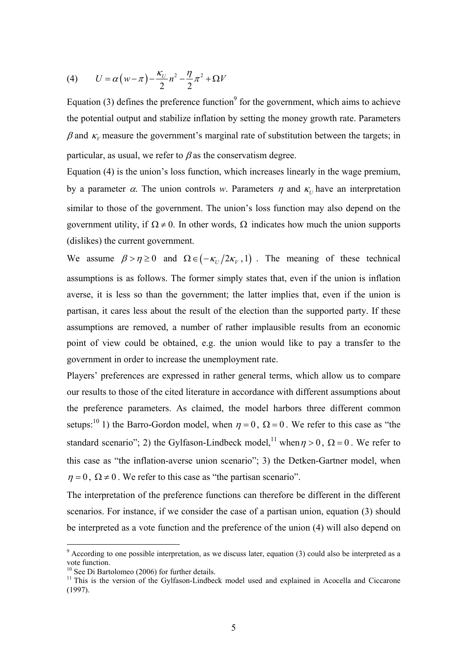(4) 
$$
U = \alpha \left( w - \pi \right) - \frac{\kappa_U}{2} n^2 - \frac{\eta}{2} \pi^2 + \Omega V
$$

Equation (3) defines the preference function<sup>9</sup> for the government, which aims to achieve the potential output and stabilize inflation by setting the money growth rate. Parameters  $β$  and  $κ<sub>ν</sub>$  measure the government's marginal rate of substitution between the targets; in particular, as usual, we refer to  $\beta$  as the conservatism degree.

Equation (4) is the union's loss function, which increases linearly in the wage premium, by a parameter  $\alpha$ . The union controls *w*. Parameters  $\eta$  and  $\kappa$ <sub>*U*</sub> have an interpretation similar to those of the government. The union's loss function may also depend on the government utility, if  $\Omega \neq 0$ . In other words,  $\Omega$  indicates how much the union supports (dislikes) the current government.

We assume  $\beta > \eta \ge 0$  and  $\Omega \in (-\kappa_U/2\kappa_V, 1)$ . The meaning of these technical assumptions is as follows. The former simply states that, even if the union is inflation averse, it is less so than the government; the latter implies that, even if the union is partisan, it cares less about the result of the election than the supported party. If these assumptions are removed, a number of rather implausible results from an economic point of view could be obtained, e.g. the union would like to pay a transfer to the government in order to increase the unemployment rate.

Players' preferences are expressed in rather general terms, which allow us to compare our results to those of the cited literature in accordance with different assumptions about the preference parameters. As claimed, the model harbors three different common setups:<sup>10</sup> 1) the Barro-Gordon model, when  $\eta = 0$ ,  $\Omega = 0$ . We refer to this case as "the standard scenario"; 2) the Gylfason-Lindbeck model,<sup>11</sup> when  $\eta > 0$ ,  $\Omega = 0$ . We refer to this case as "the inflation-averse union scenario"; 3) the Detken-Gartner model, when  $\eta = 0$ ,  $\Omega \neq 0$ . We refer to this case as "the partisan scenario".

The interpretation of the preference functions can therefore be different in the different scenarios. For instance, if we consider the case of a partisan union, equation (3) should be interpreted as a vote function and the preference of the union (4) will also depend on

<sup>&</sup>lt;sup>9</sup> According to one possible interpretation, as we discuss later, equation (3) could also be interpreted as a vote function.

<sup>&</sup>lt;sup>10</sup> See Di Bartolomeo (2006) for further details.

 $11$  This is the version of the Gylfason-Lindbeck model used and explained in Acocella and Ciccarone (1997).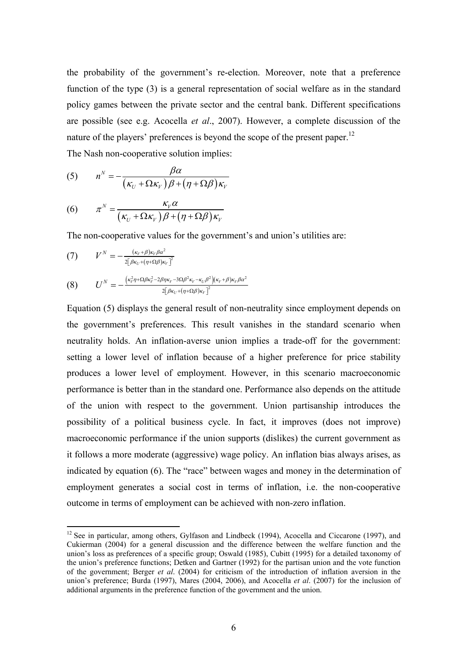the probability of the government's re-election. Moreover, note that a preference function of the type (3) is a general representation of social welfare as in the standard policy games between the private sector and the central bank. Different specifications are possible (see e.g. Acocella *et al*., 2007). However, a complete discussion of the nature of the players' preferences is beyond the scope of the present paper.<sup>12</sup> The Nash non-cooperative solution implies:

(5) 
$$
n^N = -\frac{\beta \alpha}{\left(\kappa_U + \Omega \kappa_V\right) \beta + \left(\eta + \Omega \beta\right) \kappa_V}
$$

(6) 
$$
\pi^N = \frac{\kappa_V \alpha}{\left(\kappa_U + \Omega \kappa_V\right) \beta + \left(\eta + \Omega \beta\right) \kappa_V}
$$

The non-cooperative values for the government's and union's utilities are:

$$
(7) \qquad V^N = -\frac{(\kappa_V + \beta)\kappa_V \beta \alpha^2}{2\left[\beta\kappa_U + (\eta + \Omega \beta)\kappa_V\right]^2}
$$

 $\overline{a}$ 

$$
(8) \qquad U^{N}=-\frac{(\kappa_{\nu}^{2}\eta+\Omega\beta\kappa_{\nu}^{2}-2\beta\eta\kappa_{\nu}-3\Omega\beta^{2}\kappa_{\nu}-\kappa_{U}\beta^{2})(\kappa_{\nu}+\beta)\kappa_{\nu}\beta\alpha^{2}}{2[\beta\kappa_{U}+(\eta+\Omega\beta)\kappa_{\nu}]^{2}}
$$

Equation (5) displays the general result of non-neutrality since employment depends on the government's preferences. This result vanishes in the standard scenario when neutrality holds. An inflation-averse union implies a trade-off for the government: setting a lower level of inflation because of a higher preference for price stability produces a lower level of employment. However, in this scenario macroeconomic performance is better than in the standard one. Performance also depends on the attitude of the union with respect to the government. Union partisanship introduces the possibility of a political business cycle. In fact, it improves (does not improve) macroeconomic performance if the union supports (dislikes) the current government as it follows a more moderate (aggressive) wage policy. An inflation bias always arises, as indicated by equation (6). The "race" between wages and money in the determination of employment generates a social cost in terms of inflation, i.e. the non-cooperative outcome in terms of employment can be achieved with non-zero inflation.

<sup>&</sup>lt;sup>12</sup> See in particular, among others, Gylfason and Lindbeck (1994), Acocella and Ciccarone (1997), and Cukierman (2004) for a general discussion and the difference between the welfare function and the union's loss as preferences of a specific group; Oswald (1985), Cubitt (1995) for a detailed taxonomy of the union's preference functions; Detken and Gartner (1992) for the partisan union and the vote function of the government; Berger *et al*. (2004) for criticism of the introduction of inflation aversion in the union's preference; Burda (1997), Mares (2004, 2006), and Acocella *et al*. (2007) for the inclusion of additional arguments in the preference function of the government and the union.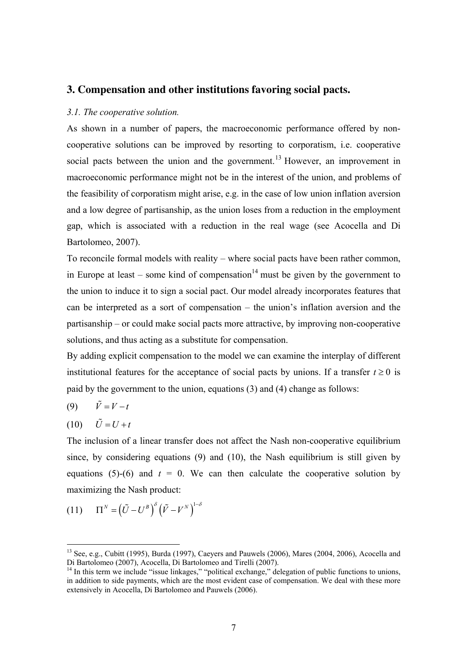### **3. Compensation and other institutions favoring social pacts.**

#### *3.1. The cooperative solution.*

As shown in a number of papers, the macroeconomic performance offered by noncooperative solutions can be improved by resorting to corporatism, i.e. cooperative social pacts between the union and the government.<sup>13</sup> However, an improvement in macroeconomic performance might not be in the interest of the union, and problems of the feasibility of corporatism might arise, e.g. in the case of low union inflation aversion and a low degree of partisanship, as the union loses from a reduction in the employment gap, which is associated with a reduction in the real wage (see Acocella and Di Bartolomeo, 2007).

To reconcile formal models with reality – where social pacts have been rather common, in Europe at least – some kind of compensation<sup>14</sup> must be given by the government to the union to induce it to sign a social pact. Our model already incorporates features that can be interpreted as a sort of compensation – the union's inflation aversion and the partisanship – or could make social pacts more attractive, by improving non-cooperative solutions, and thus acting as a substitute for compensation.

By adding explicit compensation to the model we can examine the interplay of different institutional features for the acceptance of social pacts by unions. If a transfer  $t \ge 0$  is paid by the government to the union, equations (3) and (4) change as follows:

$$
(9) \qquad \tilde{V} = V - t
$$

$$
(10) \qquad \tilde{U} = U + t
$$

 $\overline{a}$ 

The inclusion of a linear transfer does not affect the Nash non-cooperative equilibrium since, by considering equations (9) and (10), the Nash equilibrium is still given by equations (5)-(6) and  $t = 0$ . We can then calculate the cooperative solution by maximizing the Nash product:

$$
(11) \qquad \Pi^N = \left(\tilde{U} - U^B\right)^{\delta} \left(\tilde{V} - V^N\right)^{1-\delta}
$$

<sup>&</sup>lt;sup>13</sup> See, e.g., Cubitt (1995), Burda (1997), Caeyers and Pauwels (2006), Mares (2004, 2006), Acocella and Di Bartolomeo (2007), Acocella, Di Bartolomeo and Tirelli (2007).

<sup>&</sup>lt;sup>14</sup> In this term we include "issue linkages," "political exchange," delegation of public functions to unions, in addition to side payments, which are the most evident case of compensation. We deal with these more extensively in Acocella, Di Bartolomeo and Pauwels (2006).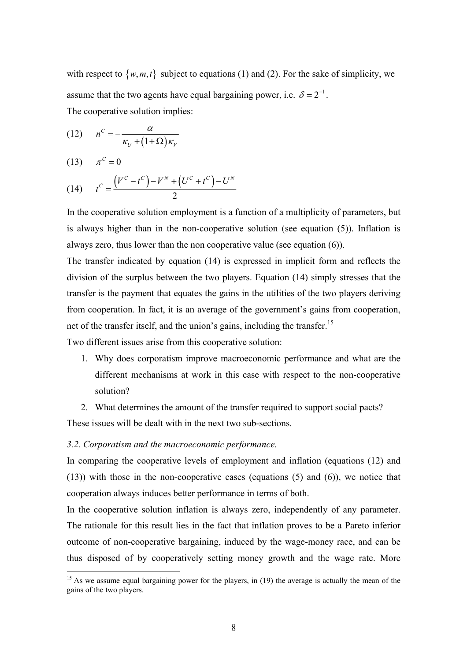with respect to  $\{w, m, t\}$  subject to equations (1) and (2). For the sake of simplicity, we assume that the two agents have equal bargaining power, i.e.  $\delta = 2^{-1}$ . The cooperative solution implies:

$$
(12) \qquad n^C = -\frac{\alpha}{\kappa_U + (1+\Omega)\kappa_V}
$$

$$
(13) \qquad \pi^C = 0
$$

 $\overline{a}$ 

(14) 
$$
t^{C} = \frac{(V^{C} - t^{C}) - V^{N} + (U^{C} + t^{C}) - U^{N}}{2}
$$

In the cooperative solution employment is a function of a multiplicity of parameters, but is always higher than in the non-cooperative solution (see equation (5)). Inflation is always zero, thus lower than the non cooperative value (see equation (6)).

The transfer indicated by equation (14) is expressed in implicit form and reflects the division of the surplus between the two players. Equation (14) simply stresses that the transfer is the payment that equates the gains in the utilities of the two players deriving from cooperation. In fact, it is an average of the government's gains from cooperation, net of the transfer itself, and the union's gains, including the transfer.<sup>15</sup>

Two different issues arise from this cooperative solution:

- 1. Why does corporatism improve macroeconomic performance and what are the different mechanisms at work in this case with respect to the non-cooperative solution?
- 2. What determines the amount of the transfer required to support social pacts? These issues will be dealt with in the next two sub-sections.

#### *3.2. Corporatism and the macroeconomic performance.*

In comparing the cooperative levels of employment and inflation (equations (12) and (13)) with those in the non-cooperative cases (equations (5) and (6)), we notice that cooperation always induces better performance in terms of both.

In the cooperative solution inflation is always zero, independently of any parameter. The rationale for this result lies in the fact that inflation proves to be a Pareto inferior outcome of non-cooperative bargaining, induced by the wage-money race, and can be thus disposed of by cooperatively setting money growth and the wage rate. More

 $15$  As we assume equal bargaining power for the players, in (19) the average is actually the mean of the gains of the two players.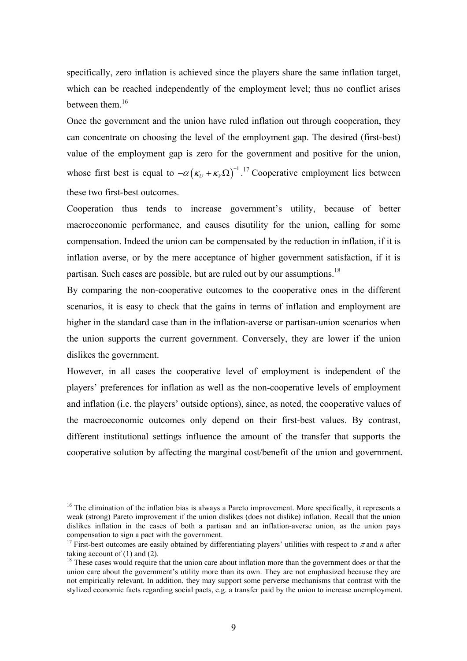specifically, zero inflation is achieved since the players share the same inflation target, which can be reached independently of the employment level; thus no conflict arises between them.<sup>16</sup>

Once the government and the union have ruled inflation out through cooperation, they can concentrate on choosing the level of the employment gap. The desired (first-best) value of the employment gap is zero for the government and positive for the union, whose first best is equal to  $-\alpha ( \kappa_U + \kappa_V \Omega )^{-1}$ .<sup>17</sup> Cooperative employment lies between these two first-best outcomes.

Cooperation thus tends to increase government's utility, because of better macroeconomic performance, and causes disutility for the union, calling for some compensation. Indeed the union can be compensated by the reduction in inflation, if it is inflation averse, or by the mere acceptance of higher government satisfaction, if it is partisan. Such cases are possible, but are ruled out by our assumptions.<sup>18</sup>

By comparing the non-cooperative outcomes to the cooperative ones in the different scenarios, it is easy to check that the gains in terms of inflation and employment are higher in the standard case than in the inflation-averse or partisan-union scenarios when the union supports the current government. Conversely, they are lower if the union dislikes the government.

However, in all cases the cooperative level of employment is independent of the players' preferences for inflation as well as the non-cooperative levels of employment and inflation (i.e. the players' outside options), since, as noted, the cooperative values of the macroeconomic outcomes only depend on their first-best values. By contrast, different institutional settings influence the amount of the transfer that supports the cooperative solution by affecting the marginal cost/benefit of the union and government.

<sup>&</sup>lt;sup>16</sup> The elimination of the inflation bias is always a Pareto improvement. More specifically, it represents a weak (strong) Pareto improvement if the union dislikes (does not dislike) inflation. Recall that the union dislikes inflation in the cases of both a partisan and an inflation-averse union, as the union pays compensation to sign a pact with the government.

<sup>&</sup>lt;sup>17</sup> First-best outcomes are easily obtained by differentiating players' utilities with respect to  $\pi$  and *n* after taking account of  $(1)$  and  $(2)$ .

<sup>&</sup>lt;sup>18</sup> These cases would require that the union care about inflation more than the government does or that the union care about the government's utility more than its own. They are not emphasized because they are not empirically relevant. In addition, they may support some perverse mechanisms that contrast with the stylized economic facts regarding social pacts, e.g. a transfer paid by the union to increase unemployment.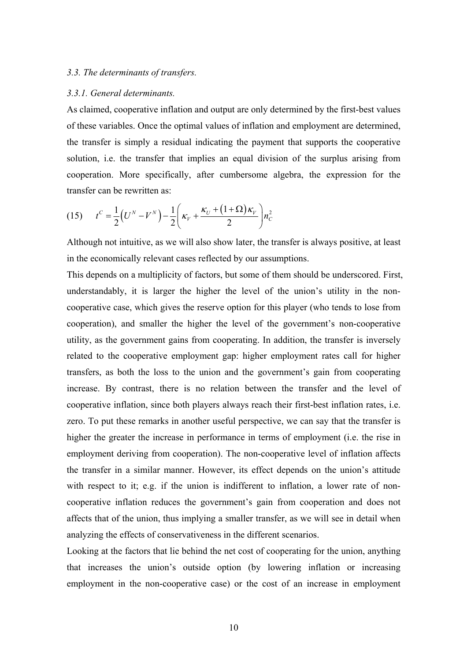#### *3.3. The determinants of transfers.*

#### *3.3.1. General determinants.*

As claimed, cooperative inflation and output are only determined by the first-best values of these variables. Once the optimal values of inflation and employment are determined, the transfer is simply a residual indicating the payment that supports the cooperative solution, i.e. the transfer that implies an equal division of the surplus arising from cooperation. More specifically, after cumbersome algebra, the expression for the transfer can be rewritten as:

(15) 
$$
t^{C} = \frac{1}{2} (U^{N} - V^{N}) - \frac{1}{2} \left( \kappa_{V} + \frac{\kappa_{U} + (1 + \Omega) \kappa_{V}}{2} \right) n_{C}^{2}
$$

Although not intuitive, as we will also show later, the transfer is always positive, at least in the economically relevant cases reflected by our assumptions.

This depends on a multiplicity of factors, but some of them should be underscored. First, understandably, it is larger the higher the level of the union's utility in the noncooperative case, which gives the reserve option for this player (who tends to lose from cooperation), and smaller the higher the level of the government's non-cooperative utility, as the government gains from cooperating. In addition, the transfer is inversely related to the cooperative employment gap: higher employment rates call for higher transfers, as both the loss to the union and the government's gain from cooperating increase. By contrast, there is no relation between the transfer and the level of cooperative inflation, since both players always reach their first-best inflation rates, i.e. zero. To put these remarks in another useful perspective, we can say that the transfer is higher the greater the increase in performance in terms of employment (i.e. the rise in employment deriving from cooperation). The non-cooperative level of inflation affects the transfer in a similar manner. However, its effect depends on the union's attitude with respect to it; e.g. if the union is indifferent to inflation, a lower rate of noncooperative inflation reduces the government's gain from cooperation and does not affects that of the union, thus implying a smaller transfer, as we will see in detail when analyzing the effects of conservativeness in the different scenarios.

Looking at the factors that lie behind the net cost of cooperating for the union, anything that increases the union's outside option (by lowering inflation or increasing employment in the non-cooperative case) or the cost of an increase in employment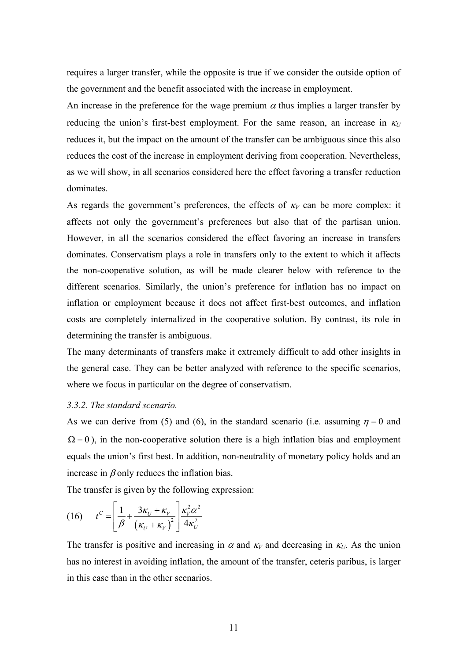requires a larger transfer, while the opposite is true if we consider the outside option of the government and the benefit associated with the increase in employment.

An increase in the preference for the wage premium  $\alpha$  thus implies a larger transfer by reducing the union's first-best employment. For the same reason, an increase in  $\kappa_U$ reduces it, but the impact on the amount of the transfer can be ambiguous since this also reduces the cost of the increase in employment deriving from cooperation. Nevertheless, as we will show, in all scenarios considered here the effect favoring a transfer reduction dominates.

As regards the government's preferences, the effects of  $\kappa_V$  can be more complex: it affects not only the government's preferences but also that of the partisan union. However, in all the scenarios considered the effect favoring an increase in transfers dominates. Conservatism plays a role in transfers only to the extent to which it affects the non-cooperative solution, as will be made clearer below with reference to the different scenarios. Similarly, the union's preference for inflation has no impact on inflation or employment because it does not affect first-best outcomes, and inflation costs are completely internalized in the cooperative solution. By contrast, its role in determining the transfer is ambiguous.

The many determinants of transfers make it extremely difficult to add other insights in the general case. They can be better analyzed with reference to the specific scenarios, where we focus in particular on the degree of conservatism.

#### *3.3.2. The standard scenario.*

As we can derive from (5) and (6), in the standard scenario (i.e. assuming  $\eta = 0$  and  $\Omega = 0$ ), in the non-cooperative solution there is a high inflation bias and employment equals the union's first best. In addition, non-neutrality of monetary policy holds and an increase in  $\beta$  only reduces the inflation bias.

The transfer is given by the following expression:

$$
(16) \t tC = \left[\frac{1}{\beta} + \frac{3\kappa_U + \kappa_V}{\left(\kappa_U + \kappa_V\right)^2}\right] \frac{\kappa_V^2 \alpha^2}{4\kappa_U^2}
$$

The transfer is positive and increasing in  $\alpha$  and  $\kappa_V$  and decreasing in  $\kappa_U$ . As the union has no interest in avoiding inflation, the amount of the transfer, ceteris paribus, is larger in this case than in the other scenarios.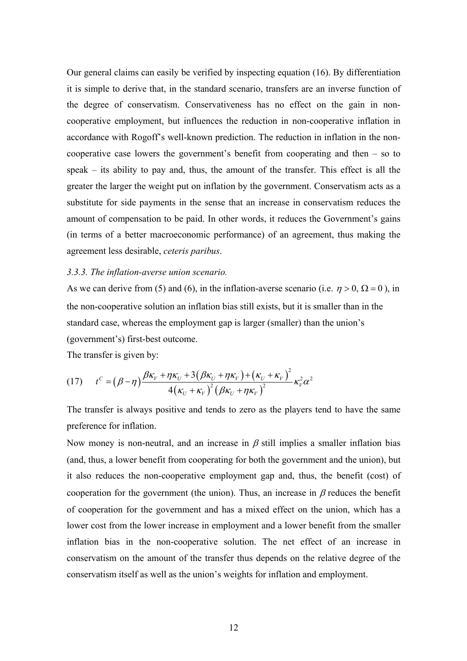Our general claims can easily be verified by inspecting equation (16). By differentiation it is simple to derive that, in the standard scenario, transfers are an inverse function of the degree of conservatism. Conservativeness has no effect on the gain in noncooperative employment, but influences the reduction in non-cooperative inflation in accordance with Rogoff's well-known prediction. The reduction in inflation in the noncooperative case lowers the government's benefit from cooperating and then – so to speak – its ability to pay and, thus, the amount of the transfer. This effect is all the greater the larger the weight put on inflation by the government. Conservatism acts as a substitute for side payments in the sense that an increase in conservatism reduces the amount of compensation to be paid. In other words, it reduces the Government's gains (in terms of a better macroeconomic performance) of an agreement, thus making the agreement less desirable, *ceteris paribus*.

#### *3.3.3. The inflation-averse union scenario.*

As we can derive from (5) and (6), in the inflation-averse scenario (i.e.  $\eta > 0$ ,  $\Omega = 0$ ), in the non-cooperative solution an inflation bias still exists, but it is smaller than in the standard case, whereas the employment gap is larger (smaller) than the union's (government's) first-best outcome.

The transfer is given by:

$$
(17) \t tC = (\beta - \eta) \frac{\beta \kappa_v + \eta \kappa_U + 3(\beta \kappa_U + \eta \kappa_V) + (\kappa_U + \kappa_V)^2}{4(\kappa_U + \kappa_V)^2(\beta \kappa_U + \eta \kappa_V)^2} \kappa_V^2 \alpha^2
$$

The transfer is always positive and tends to zero as the players tend to have the same preference for inflation.

Now money is non-neutral, and an increase in  $\beta$  still implies a smaller inflation bias (and, thus, a lower benefit from cooperating for both the government and the union), but it also reduces the non-cooperative employment gap and, thus, the benefit (cost) of cooperation for the government (the union). Thus, an increase in  $\beta$  reduces the benefit of cooperation for the government and has a mixed effect on the union, which has a lower cost from the lower increase in employment and a lower benefit from the smaller inflation bias in the non-cooperative solution. The net effect of an increase in conservatism on the amount of the transfer thus depends on the relative degree of the conservatism itself as well as the union's weights for inflation and employment.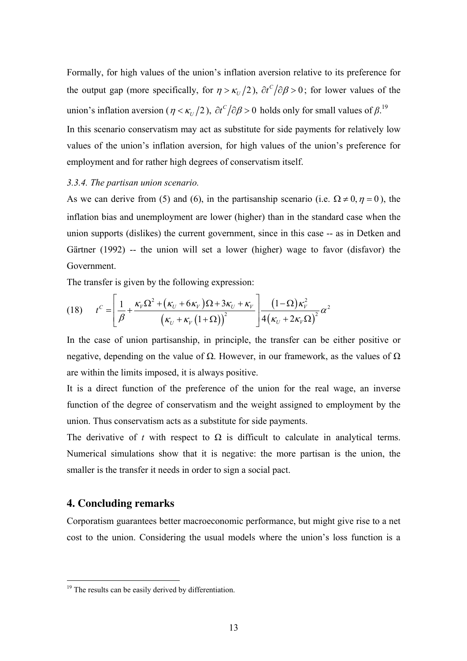Formally, for high values of the union's inflation aversion relative to its preference for the output gap (more specifically, for  $\eta > \kappa_U/2$ ),  $\partial t^C/\partial \beta > 0$ ; for lower values of the union's inflation aversion ( $\eta < \kappa_U/2$ ),  $\partial t^C/\partial \beta > 0$  holds only for small values of  $\beta$ .<sup>19</sup> In this scenario conservatism may act as substitute for side payments for relatively low values of the union's inflation aversion, for high values of the union's preference for employment and for rather high degrees of conservatism itself.

#### *3.3.4. The partisan union scenario.*

As we can derive from (5) and (6), in the partisanship scenario (i.e.  $\Omega \neq 0, \eta = 0$ ), the inflation bias and unemployment are lower (higher) than in the standard case when the union supports (dislikes) the current government, since in this case -- as in Detken and Gärtner (1992) -- the union will set a lower (higher) wage to favor (disfavor) the Government.

The transfer is given by the following expression:

$$
(18) \t tC = \left[ \frac{1}{\beta} + \frac{\kappa_{V} \Omega^{2} + (\kappa_{U} + 6\kappa_{V})\Omega + 3\kappa_{U} + \kappa_{V}}{(\kappa_{U} + \kappa_{V} (1 + \Omega))^{2}} \right] \frac{(1-\Omega)\kappa_{V}^{2}}{4(\kappa_{U} + 2\kappa_{V} \Omega)^{2}} \alpha^{2}
$$

In the case of union partisanship, in principle, the transfer can be either positive or negative, depending on the value of  $Ω$ . However, in our framework, as the values of  $Ω$ are within the limits imposed, it is always positive.

It is a direct function of the preference of the union for the real wage, an inverse function of the degree of conservatism and the weight assigned to employment by the union. Thus conservatism acts as a substitute for side payments.

The derivative of *t* with respect to  $\Omega$  is difficult to calculate in analytical terms. Numerical simulations show that it is negative: the more partisan is the union, the smaller is the transfer it needs in order to sign a social pact.

## **4. Concluding remarks**

 $\overline{a}$ 

Corporatism guarantees better macroeconomic performance, but might give rise to a net cost to the union. Considering the usual models where the union's loss function is a

<sup>&</sup>lt;sup>19</sup> The results can be easily derived by differentiation.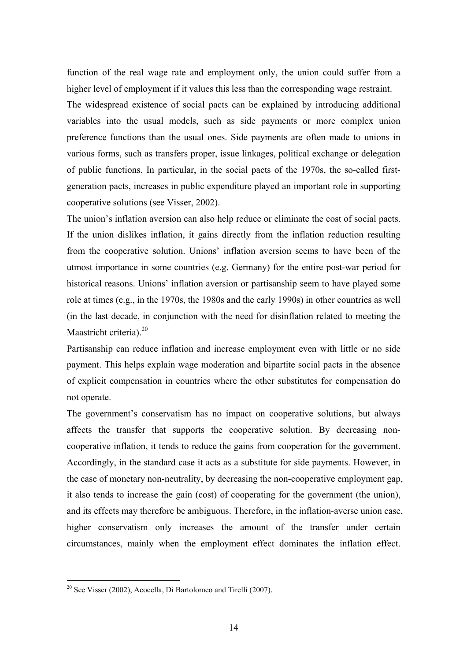function of the real wage rate and employment only, the union could suffer from a higher level of employment if it values this less than the corresponding wage restraint. The widespread existence of social pacts can be explained by introducing additional variables into the usual models, such as side payments or more complex union preference functions than the usual ones. Side payments are often made to unions in various forms, such as transfers proper, issue linkages, political exchange or delegation of public functions. In particular, in the social pacts of the 1970s, the so-called firstgeneration pacts, increases in public expenditure played an important role in supporting cooperative solutions (see Visser, 2002).

The union's inflation aversion can also help reduce or eliminate the cost of social pacts. If the union dislikes inflation, it gains directly from the inflation reduction resulting from the cooperative solution. Unions' inflation aversion seems to have been of the utmost importance in some countries (e.g. Germany) for the entire post-war period for historical reasons. Unions' inflation aversion or partisanship seem to have played some role at times (e.g., in the 1970s, the 1980s and the early 1990s) in other countries as well (in the last decade, in conjunction with the need for disinflation related to meeting the Maastricht criteria). $20$ 

Partisanship can reduce inflation and increase employment even with little or no side payment. This helps explain wage moderation and bipartite social pacts in the absence of explicit compensation in countries where the other substitutes for compensation do not operate.

The government's conservatism has no impact on cooperative solutions, but always affects the transfer that supports the cooperative solution. By decreasing noncooperative inflation, it tends to reduce the gains from cooperation for the government. Accordingly, in the standard case it acts as a substitute for side payments. However, in the case of monetary non-neutrality, by decreasing the non-cooperative employment gap, it also tends to increase the gain (cost) of cooperating for the government (the union), and its effects may therefore be ambiguous. Therefore, in the inflation-averse union case, higher conservatism only increases the amount of the transfer under certain circumstances, mainly when the employment effect dominates the inflation effect.

 $20$  See Visser (2002), Acocella, Di Bartolomeo and Tirelli (2007).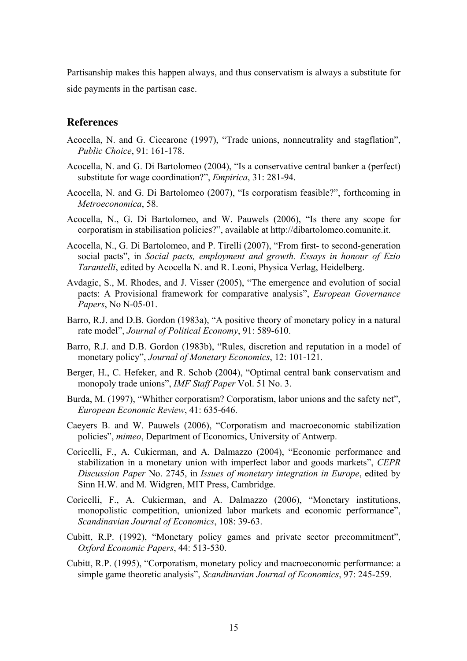Partisanship makes this happen always, and thus conservatism is always a substitute for side payments in the partisan case.

## **References**

- Acocella, N. and G. Ciccarone (1997), "Trade unions, nonneutrality and stagflation", *Public Choice*, 91: 161-178.
- Acocella, N. and G. Di Bartolomeo (2004), "Is a conservative central banker a (perfect) substitute for wage coordination?", *Empirica*, 31: 281-94.
- Acocella, N. and G. Di Bartolomeo (2007), "Is corporatism feasible?", forthcoming in *Metroeconomica*, 58.
- Acocella, N., G. Di Bartolomeo, and W. Pauwels (2006), "Is there any scope for corporatism in stabilisation policies?", available at http://dibartolomeo.comunite.it.
- Acocella, N., G. Di Bartolomeo, and P. Tirelli (2007), "From first- to second-generation social pacts", in *Social pacts, employment and growth. Essays in honour of Ezio Tarantelli*, edited by Acocella N. and R. Leoni, Physica Verlag, Heidelberg.
- Avdagic, S., M. Rhodes, and J. Visser (2005), "The emergence and evolution of social pacts: A Provisional framework for comparative analysis", *European Governance Papers*, No N-05-01.
- Barro, R.J. and D.B. Gordon (1983a), "A positive theory of monetary policy in a natural rate model", *Journal of Political Economy*, 91: 589-610.
- Barro, R.J. and D.B. Gordon (1983b), "Rules, discretion and reputation in a model of monetary policy", *Journal of Monetary Economics*, 12: 101-121.
- Berger, H., C. Hefeker, and R. Schob (2004), "Optimal central bank conservatism and monopoly trade unions", *IMF Staff Paper* Vol. 51 No. 3.
- Burda, M. (1997), "Whither corporatism? Corporatism, labor unions and the safety net", *European Economic Review*, 41: 635-646.
- Caeyers B. and W. Pauwels (2006), "Corporatism and macroeconomic stabilization policies", *mimeo*, Department of Economics, University of Antwerp.
- Coricelli, F., A. Cukierman, and A. Dalmazzo (2004), "Economic performance and stabilization in a monetary union with imperfect labor and goods markets", *CEPR Discussion Paper* No. 2745, in *Issues of monetary integration in Europe*, edited by Sinn H.W. and M. Widgren, MIT Press, Cambridge.
- Coricelli, F., A. Cukierman, and A. Dalmazzo (2006), "Monetary institutions, monopolistic competition, unionized labor markets and economic performance", *Scandinavian Journal of Economics*, 108: 39-63.
- Cubitt, R.P. (1992), "Monetary policy games and private sector precommitment", *Oxford Economic Papers*, 44: 513-530.
- Cubitt, R.P. (1995), "Corporatism, monetary policy and macroeconomic performance: a simple game theoretic analysis", *Scandinavian Journal of Economics*, 97: 245-259.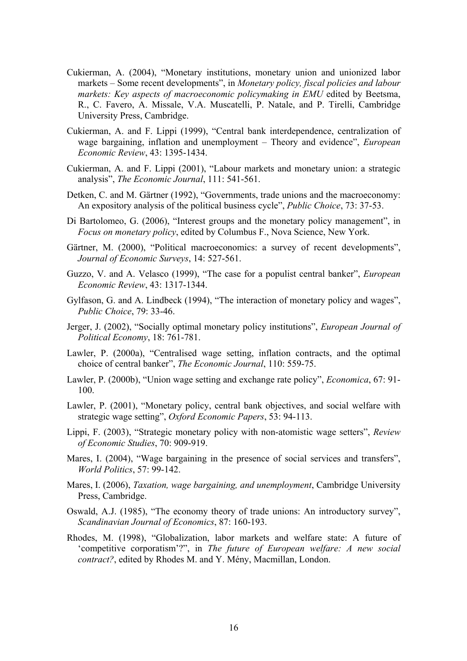- Cukierman, A. (2004), "Monetary institutions, monetary union and unionized labor markets – Some recent developments", in *Monetary policy, fiscal policies and labour markets: Key aspects of macroeconomic policymaking in EMU* edited by Beetsma, R., C. Favero, A. Missale, V.A. Muscatelli, P. Natale, and P. Tirelli, Cambridge University Press, Cambridge.
- Cukierman, A. and F. Lippi (1999), "Central bank interdependence, centralization of wage bargaining, inflation and unemployment – Theory and evidence", *European Economic Review*, 43: 1395-1434.
- Cukierman, A. and F. Lippi (2001), "Labour markets and monetary union: a strategic analysis", *The Economic Journal*, 111: 541-561.
- Detken, C. and M. Gärtner (1992), "Governments, trade unions and the macroeconomy: An expository analysis of the political business cycle", *Public Choice*, 73: 37-53.
- Di Bartolomeo, G. (2006), "Interest groups and the monetary policy management", in *Focus on monetary policy*, edited by Columbus F., Nova Science, New York.
- Gärtner, M. (2000), "Political macroeconomics: a survey of recent developments", *Journal of Economic Surveys*, 14: 527-561.
- Guzzo, V. and A. Velasco (1999), "The case for a populist central banker", *European Economic Review*, 43: 1317-1344.
- Gylfason, G. and A. Lindbeck (1994), "The interaction of monetary policy and wages", *Public Choice*, 79: 33-46.
- Jerger, J. (2002), "Socially optimal monetary policy institutions", *European Journal of Political Economy*, 18: 761-781.
- Lawler, P. (2000a), "Centralised wage setting, inflation contracts, and the optimal choice of central banker", *The Economic Journal*, 110: 559-75.
- Lawler, P. (2000b), "Union wage setting and exchange rate policy", *Economica*, 67: 91- 100.
- Lawler, P. (2001), "Monetary policy, central bank objectives, and social welfare with strategic wage setting", *Oxford Economic Papers*, 53: 94-113.
- Lippi, F. (2003), "Strategic monetary policy with non-atomistic wage setters", *Review of Economic Studies*, 70: 909-919.
- Mares, I. (2004), "Wage bargaining in the presence of social services and transfers", *World Politics*, 57: 99-142.
- Mares, I. (2006), *Taxation, wage bargaining, and unemployment*, Cambridge University Press, Cambridge.
- Oswald, A.J. (1985), "The economy theory of trade unions: An introductory survey", *Scandinavian Journal of Economics*, 87: 160-193.
- Rhodes, M. (1998), "Globalization, labor markets and welfare state: A future of 'competitive corporatism'?", in *The future of European welfare: A new social contract?*, edited by Rhodes M. and Y. Mény, Macmillan, London.